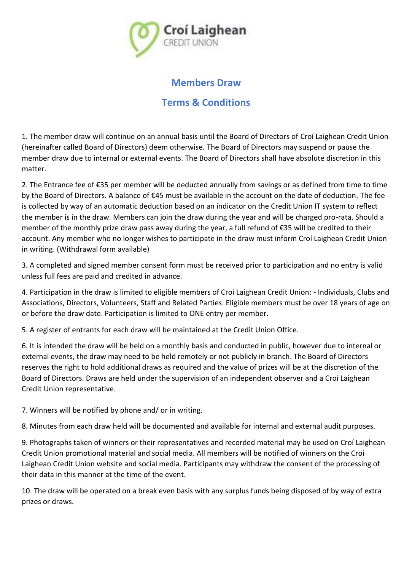

## **Members Draw**

## **Terms & Conditions**

1. The member draw will continue on an annual basis until the Board of Directors of Croí Laighean Credit Union (hereinafter called Board of Directors) deem otherwise. The Board of Directors may suspend or pause the member draw due to internal or external events. The Board of Directors shall have absolute discretion in this matter.

2. The Entrance fee of €35 per member will be deducted annually from savings or as defined from time to time by the Board of Directors. A balance of €45 must be available in the account on the date of deduction. The fee is collected by way of an automatic deduction based on an indicator on the Credit Union IT system to reflect the member is in the draw. Members can join the draw during the year and will be charged pro-rata. Should a member of the monthly prize draw pass away during the year, a full refund of €35 will be credited to their account. Any member who no longer wishes to participate in the draw must inform Croí Laighean Credit Union in writing. (Withdrawal form available)

3. A completed and signed member consent form must be received prior to participation and no entry is valid unless full fees are paid and credited in advance.

4. Participation in the draw is limited to eligible members of Croí Laighean Credit Union: - Individuals, Clubs and Associations, Directors, Volunteers, Staff and Related Parties. Eligible members must be over 18 years of age on or before the draw date. Participation is limited to ONE entry per member.

5. A register of entrants for each draw will be maintained at the Credit Union Office.

6. It is intended the draw will be held on a monthly basis and conducted in public, however due to internal or external events, the draw may need to be held remotely or not publicly in branch. The Board of Directors reserves the right to hold additional draws as required and the value of prizes will be at the discretion of the Board of Directors. Draws are held under the supervision of an independent observer and a Croí Laighean Credit Union representative.

7. Winners will be notified by phone and/ or in writing.

8. Minutes from each draw held will be documented and available for internal and external audit purposes.

9. Photographs taken of winners or their representatives and recorded material may be used on Croí Laighean Credit Union promotional material and social media. All members will be notified of winners on the Croí Laighean Credit Union website and social media. Participants may withdraw the consent of the processing of their data in this manner at the time of the event.

10. The draw will be operated on a break even basis with any surplus funds being disposed of by way of extra prizes or draws.